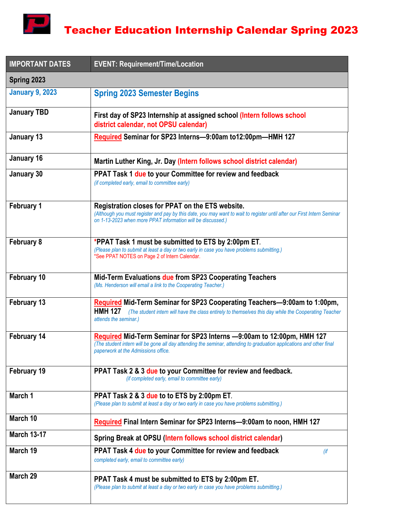

| <b>IMPORTANT DATES</b> | <b>EVENT: Requirement/Time/Location</b>                                                                                                                                                                                                    |  |
|------------------------|--------------------------------------------------------------------------------------------------------------------------------------------------------------------------------------------------------------------------------------------|--|
| Spring 2023            |                                                                                                                                                                                                                                            |  |
| <b>January 9, 2023</b> | <b>Spring 2023 Semester Begins</b>                                                                                                                                                                                                         |  |
| <b>January TBD</b>     | First day of SP23 Internship at assigned school (Intern follows school<br>district calendar, not OPSU calendar)                                                                                                                            |  |
| January 13             | Required Seminar for SP23 Interns-9:00am to12:00pm-HMH 127                                                                                                                                                                                 |  |
| January 16             | Martin Luther King, Jr. Day (Intern follows school district calendar)                                                                                                                                                                      |  |
| January 30             | PPAT Task 1 due to your Committee for review and feedback<br>(if completed early, email to committee early)                                                                                                                                |  |
| <b>February 1</b>      | Registration closes for PPAT on the ETS website.<br>(Although you must register and pay by this date, you may want to wait to register until after our First Intern Seminar<br>on 1-13-2023 when more PPAT information will be discussed.) |  |
| February 8             | *PPAT Task 1 must be submitted to ETS by 2:00pm ET.<br>(Please plan to submit at least a day or two early in case you have problems submitting.)<br>*See PPAT NOTES on Page 2 of Intern Calendar.                                          |  |
| February 10            | Mid-Term Evaluations due from SP23 Cooperating Teachers<br>(Ms. Henderson will email a link to the Cooperating Teacher.)                                                                                                                   |  |
| February 13            | Required Mid-Term Seminar for SP23 Cooperating Teachers-9:00am to 1:00pm,<br><b>HMH 127</b><br>(The student intern will have the class entirely to themselves this day while the Cooperating Teacher<br>attends the seminar.)              |  |
| February 14            | Required Mid-Term Seminar for SP23 Interns -9:00am to 12:00pm, HMH 127<br>(The student intern will be gone all day attending the seminar, attending to graduation applications and other final<br>paperwork at the Admissions office.      |  |
| February 19            | PPAT Task 2 & 3 due to your Committee for review and feedback.<br>(if completed early, email to committee early)                                                                                                                           |  |
| March 1                | PPAT Task 2 & 3 due to to ETS by 2:00pm ET.<br>(Please plan to submit at least a day or two early in case you have problems submitting.)                                                                                                   |  |
| March 10               | Required Final Intern Seminar for SP23 Interns-9:00am to noon, HMH 127                                                                                                                                                                     |  |
| <b>March 13-17</b>     | Spring Break at OPSU (Intern follows school district calendar)                                                                                                                                                                             |  |
| March 19               | PPAT Task 4 due to your Committee for review and feedback<br>$($ if<br>completed early, email to committee early)                                                                                                                          |  |
| March 29               | PPAT Task 4 must be submitted to ETS by 2:00pm ET.<br>(Please plan to submit at least a day or two early in case you have problems submitting.)                                                                                            |  |